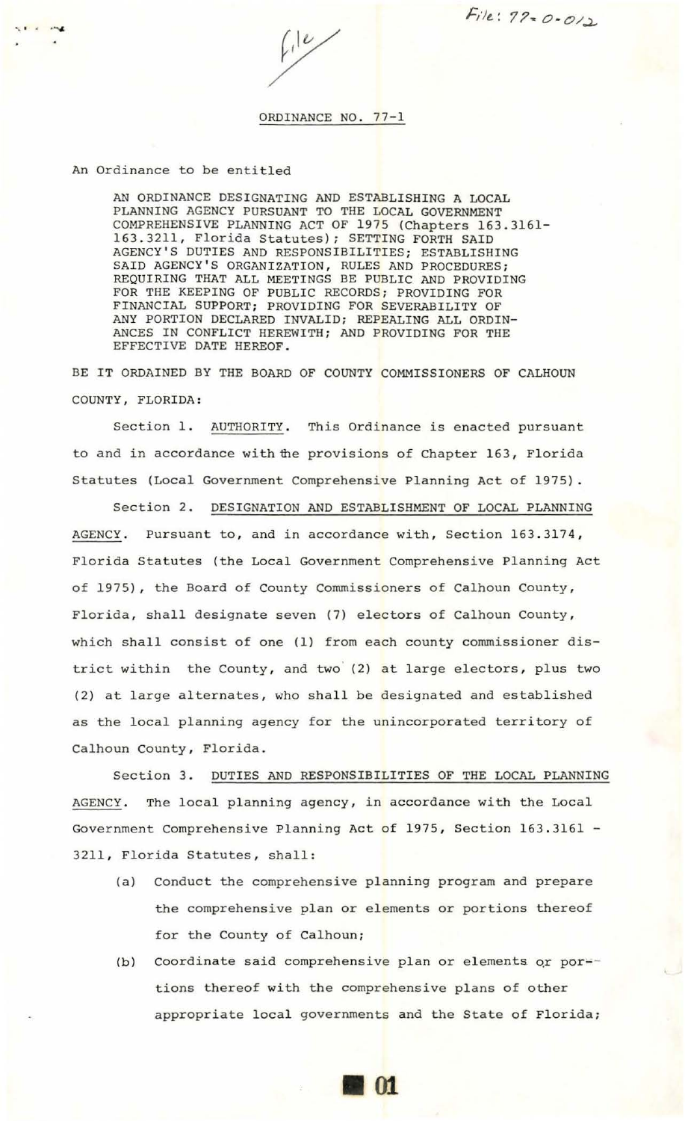$File: 77 - 0.012$ 

 $\leftarrow \hspace{-0.5cm} \int \frac{d^{2}y}{y^{2}} \, dy$ 

## ORDINANCE NO. 77-1

An Ordinance to be entitled

AN ORDINANCE DESIGNATING AND ESTABLISHING A LOCAL PLANNING AGENCY PURSUANT TO THE LOCAL GOVERNMENT COMPREHENSIVE PLANNING ACT OF 1975 (Chapters 163.3161- 163 . 3211, Florida Statutes); SETTING FORTH SAID AGENCY'S DUTIES AND RESPONSIBILITIES; ESTABLISHING SAID AGENCY'S ORGANIZATION, RULES AND PROCEDURES; REQUIRING THAT ALL MEETINGS BE PUBLIC AND PROVIDING FOR THE KEEPING OF PUBLIC RECORDS; PROVIDING FOR FINANCIAL SUPPORT; PROVIDING FOR SEVERABILITY OF ANY PORTION DECLARED INVALID; REPEALING ALL ORDIN-ANCES IN CONFLICT HEREWITH; AND PROVIDING FOR THE EFFECTIVE DATE HEREOF .

BE IT ORDAINED BY THE BOARD OF COUNTY COMMISSIONERS OF CALHOUN COUNTY , FLORIDA:

Section 1. AUTHORITY. This Ordinance is enacted pursuant to and in accordance with the provisions of Chapter 163, Florida Statutes (Local Government Comprehensive Planning Act of 1975).

Section 2. DESIGNATION AND ESTABLISHMENT OF LOCAL PLANNING AGENCY. Pursuant to, and in accordance with, Section 163.3174, Florida Statutes {the Local Government Comprehensive Planning Act of 1975), the Board of County Commissioners of Calhoun County, Florida, shall designate seven (7) electors of Calhoun County, which shall consist of one (1) from each county commissioner district within the County, and two  $(2)$  at large electors, plus two (2) at large alternates, who shall be designated and established as the local planning agency for the unincorporated territory of Calhoun County, Florida.

Section 3. DUTIES AND RESPONSIBILITIES OF THE LOCAL PLANNING AGENCY. The local planning agency, in accordance with the Local Government Comprehensive Planning Act of 1975, Section 163.3161 -3211, Florida Statutes, shall:

- (a) Conduct the comprehensive planning program and prepare the comprehensive plan or elements or portions thereof for the County of calhoun;
- (b) Coordinate said comprehensive plan or elements or portions thereof with the comprehensive plans of other appropriate local governments and the State of Florida;

**1101**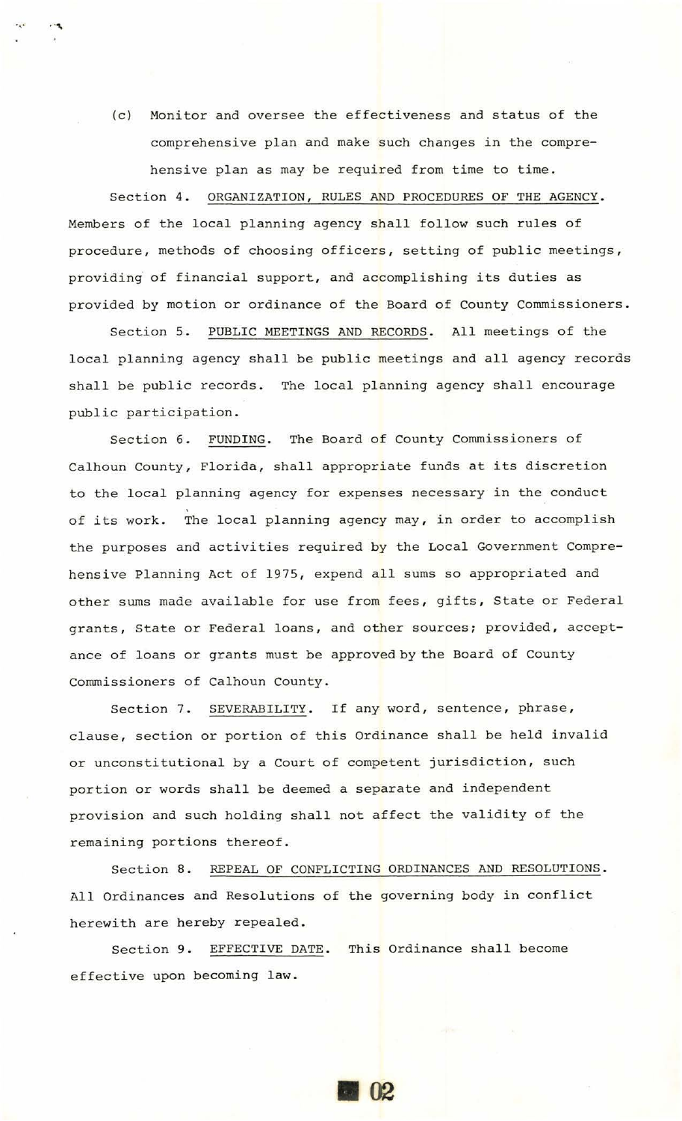(c) Monitor and oversee the effectiveness and status of the comprehensive plan and make such changes in the comprehensive plan as may be required from time to time.

.,. . .....

Section 4. ORGANIZATION, RULES AND PROCEDURES OF THE AGENCY. Members of the local planning agency shall follow such rules of procedure, methods of choosing officers, setting of public meetings, providing of financial support, and accomplishing its duties as provided by motion or ordinance of the Board of County Commissioners.

Section 5. PUBLIC MEETINGS AND RECORDS. All meetings of the local planning agency shall be public meetings and all agency records shall be public records. The local planning agency shall encourage public participation .

Section 6. FUNDING. The Board of County Commissioners of Calhoun County, Florida, shall appropriate funds at its discretion to the local planning agency for expenses necessary in the conduct of its work. The local planning agency may, in order to accomplish the purposes and activities required by the Local Government Comprehensive Planning Act of 1975, expend all sums so appropriated and other sums made available for use from fees, gifts, State or Federal grants, State or Federal loans, and other sources; provided, acceptance of loans or grants must be approved by the Board of County Commissioners of Calhoun County.

Section 7. SEVERABILITY. If any word, sentence, phrase, clause, section or portion of this Ordinance shall be held invalid or unconstitutional by a Court of competent jurisdiction, such portion or words shall be deemed a separate and independent provision and such holding shall not affect the validity of the remaining portions thereof.

Section 8. REPEAL OF CONFLICTING ORDINANCES AND RESOLUTIONS. All Ordinances and Resolutions of the governing body in conflict herewith are hereby repealed.

Section 9. EFFECTIVE DATE. This Ordinance shall become effective upon becoming law .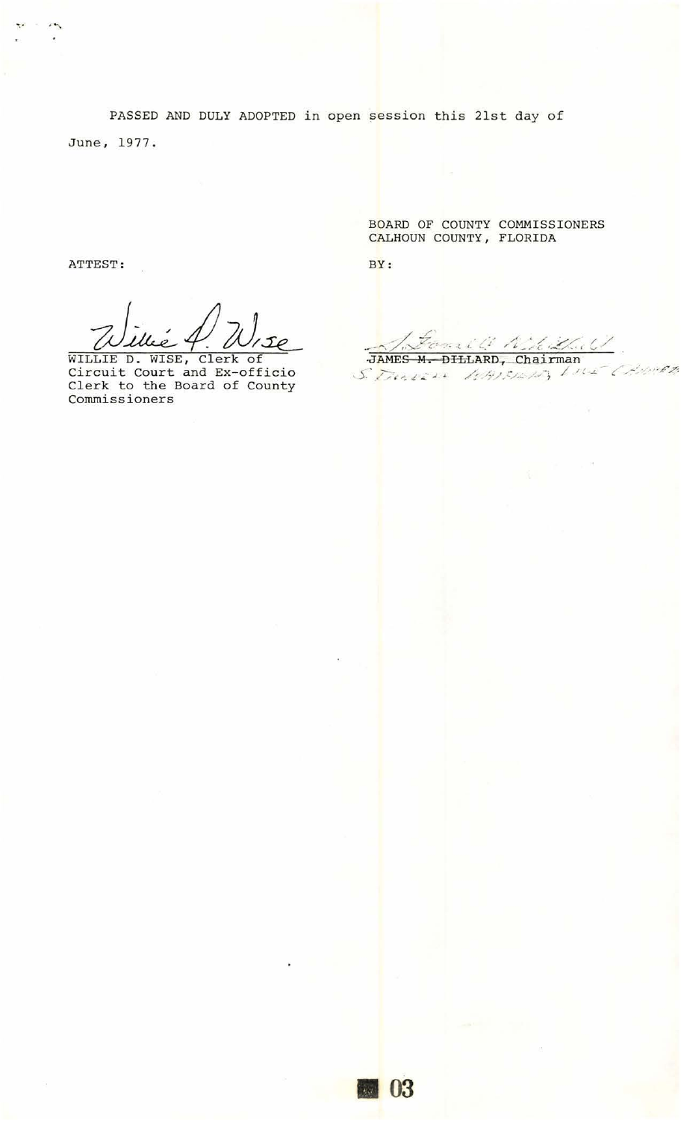PASSED AND DULY ADOPTED in open session this 21st day of June, 1977.

ATTEST:

 $\sim$ 

WILLIE D. WISE, Clerk of Circuit Court and Ex-officio Clerk to the Board of County Commissioners

BOARD OF COUNTY COMMISSIONERS CALHOUN COUNTY, FLORIDA

BY:

JAMES M. DILLARD, Chairman S. Dervers 104151615 Live Ance C.  $\overline{\phantom{a}}$ 

II 03